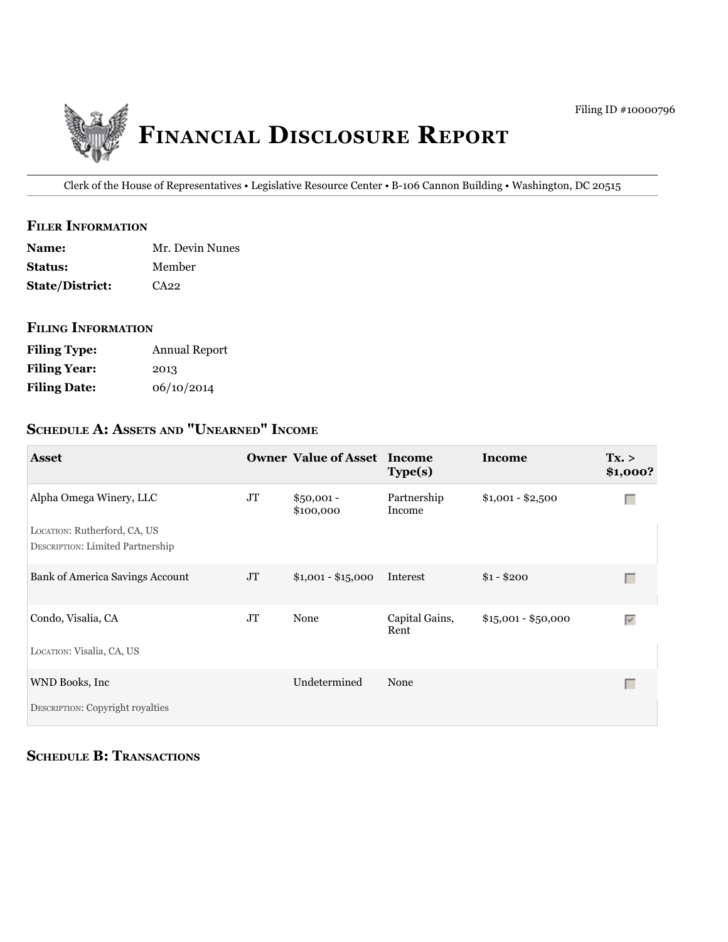

Clerk of the House of Representatives • Legislative Resource Center • B-106 Cannon Building • Washington, DC 20515

#### **filer information**

| <b>Name:</b>           | Mr. Devin Nunes |
|------------------------|-----------------|
| <b>Status:</b>         | Member          |
| <b>State/District:</b> | CA22            |

#### **filing information**

| <b>Filing Type:</b> | Annual Report |
|---------------------|---------------|
| <b>Filing Year:</b> | 2013          |
| <b>Filing Date:</b> | 06/10/2014    |

# **ScHeDule a: aSSetS anD "unearneD" income**

| <b>Asset</b>                                                                                       |          | <b>Owner Value of Asset</b> | Income<br>Type(s)      | Income              | Tx. ><br>\$1,000?               |
|----------------------------------------------------------------------------------------------------|----------|-----------------------------|------------------------|---------------------|---------------------------------|
| Alpha Omega Winery, LLC<br>LOCATION: Rutherford, CA, US<br><b>DESCRIPTION: Limited Partnership</b> | JT       | $$50,001 -$<br>\$100,000    | Partnership<br>Income  | $$1,001 - $2,500$   | Г                               |
| <b>Bank of America Savings Account</b>                                                             | $\rm JT$ | $$1,001 - $15,000$          | Interest               | $$1 - $200$         | $\Box$                          |
| Condo, Visalia, CA                                                                                 | JT       | None                        | Capital Gains,<br>Rent | $$15,001 - $50,000$ | $\overline{\blacktriangledown}$ |
| LOCATION: Visalia, CA, US                                                                          |          |                             |                        |                     |                                 |
| WND Books, Inc                                                                                     |          | Undetermined                | None                   |                     | Г                               |
| DESCRIPTION: Copyright royalties                                                                   |          |                             |                        |                     |                                 |

**SCHEDULE B: TRANSACTIONS**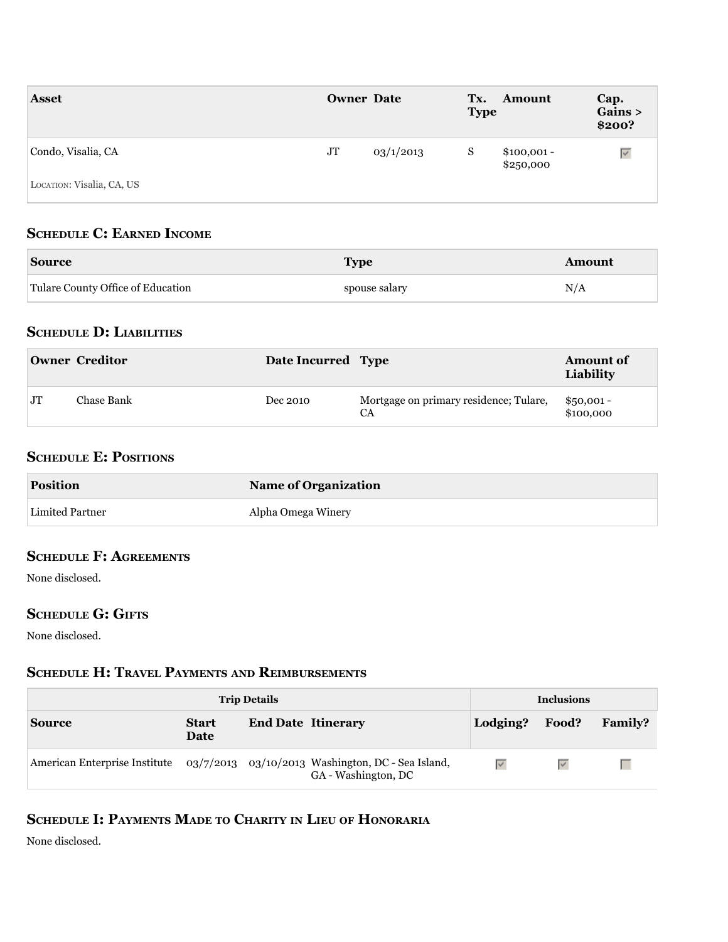| <b>Asset</b>              | <b>Owner Date</b>     | Tx.<br><b>Amount</b><br><b>Type</b> | Cap.<br>Gains ><br>\$200? |
|---------------------------|-----------------------|-------------------------------------|---------------------------|
| Condo, Visalia, CA        | $\rm JT$<br>03/1/2013 | S<br>$$100,001 -$<br>\$250,000      | $\overline{\vee}$         |
| LOCATION: Visalia, CA, US |                       |                                     |                           |

## **ScHeDule c: earneD income**

| <b>Source</b>                     | $\mathbf{m}$  | ็ทoun |
|-----------------------------------|---------------|-------|
| Tulare County Office of Education | spouse salary | - -   |

## **ScHeDule D: liabilitieS**

|           | <b>Owner Creditor</b> | Date Incurred Type |                                              | <b>Amount of</b><br>Liability |
|-----------|-----------------------|--------------------|----------------------------------------------|-------------------------------|
| <b>JT</b> | Chase Bank            | Dec 2010           | Mortgage on primary residence; Tulare,<br>CA | $$50,001 -$<br>\$100,000      |

### **SCHEDULE E: POSITIONS**

| <b>Position</b> | <b>Name of Organization</b> |
|-----------------|-----------------------------|
| Limited Partner | Alpha Omega Winery          |

# **ScHeDule f: agreementS**

None disclosed.

### **SCHEDULE G: GIFTS**

None disclosed.

# **ScHeDule H: travel PaymentS anD reimburSementS**

| <b>Trip Details</b> |                      | <b>Inclusions</b>                                                                                      |                   |       |                |
|---------------------|----------------------|--------------------------------------------------------------------------------------------------------|-------------------|-------|----------------|
| <b>Source</b>       | <b>Start</b><br>Date | <b>End Date Itinerary</b>                                                                              | Lodging?          | Food? | <b>Family?</b> |
|                     |                      | American Enterprise Institute 03/7/2013 03/10/2013 Washington, DC - Sea Island,<br>GA - Washington, DC | $\overline{\vee}$ |       |                |

# **ScHeDule i: PaymentS maDe to cHarity in lieu of Honoraria**

None disclosed.